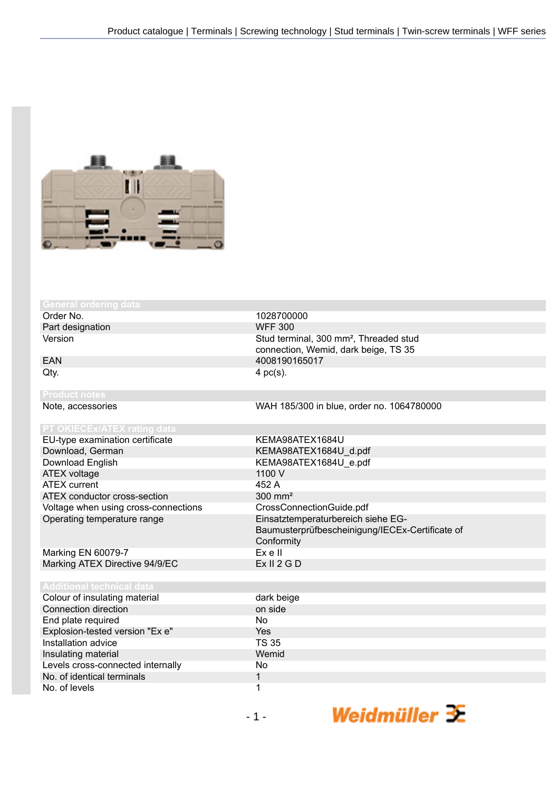

## **neral ordering**

Order No. 1028700000<br>
Part designation and the contract of the CONFE 300 Part designation

EU-type examination certificate KEMA98ATEX1684U Download, German KEMA98ATEX1684U\_d.pdf<br>Download English KEMA98ATEX1684U\_e.pdf ATEX voltage 1100 V ATEX current 452 A ATEX conductor cross-section 300 mm<sup>2</sup> Voltage when using cross-connections CrossConnectionGuide.pdf Operating temperature range Einsatztemperaturbereich siehe EG-

Marking EN 60079-7 Ex e II Marking ATEX Directive 94/9/EC

Colour of insula Connection dire End plate requ Explosion-teste Installation adv Insulating mate Levels cross-connected in No. of identical No. of levels

Version **Stud terminal, 300 mm<sup>2</sup>, Threaded stud** Stud terminal, 300 mm<sup>2</sup>, Threaded stud connection, Wemid, dark beige, TS 35 EAN 4008190165017  $Qty.$  4 pc(s).

Note, accessories WAH 185/300 in blue, order no. 1064780000

KEMA98ATEX1684U\_e.pdf Baumusterprüfbescheinigung/IECEx-Certificate of Conformity<br>Ex e II

| hnical data:        |              |
|---------------------|--------------|
| ating material      | dark beige   |
| ection              | on side      |
| ired                | No.          |
| ed version "Ex e"   | Yes          |
| ice                 | <b>TS 35</b> |
| erial               | Wemid        |
| onnected internally | No.          |
| I terminals         |              |
|                     |              |

Weidmüller  $\mathcal{\mathcal{F}}$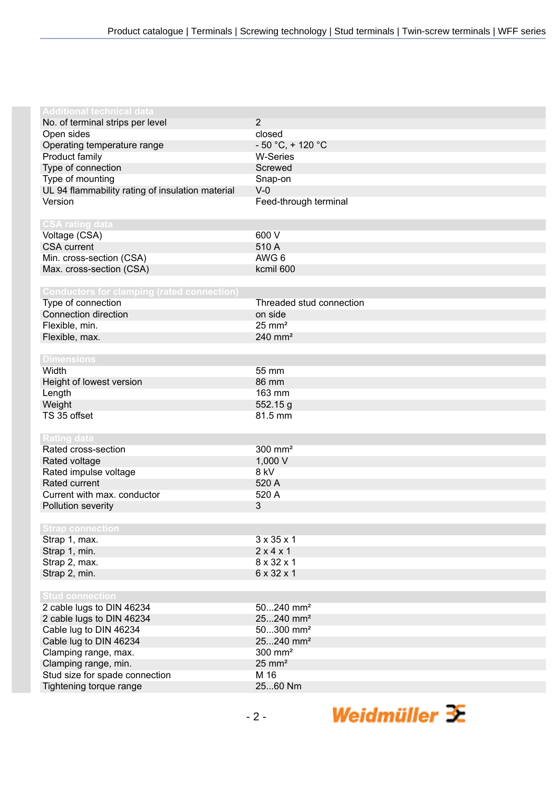| <b>Additional technical data</b>                  |                          |
|---------------------------------------------------|--------------------------|
|                                                   | $\overline{2}$           |
| No. of terminal strips per level<br>Open sides    | closed                   |
|                                                   | $-50 °C$ , + 120 °C      |
| Operating temperature range                       |                          |
| Product family                                    | <b>W-Series</b>          |
| Type of connection                                | Screwed                  |
| Type of mounting                                  | Snap-on                  |
| UL 94 flammability rating of insulation material  | $V-0$                    |
| Version                                           | Feed-through terminal    |
|                                                   |                          |
| <b>CSA rating data</b>                            |                          |
| Voltage (CSA)                                     | 600 V                    |
| <b>CSA</b> current                                | 510 A                    |
| Min. cross-section (CSA)                          | AWG 6                    |
| Max. cross-section (CSA)                          | kcmil 600                |
|                                                   |                          |
| <b>Conductors for clamping (rated connection)</b> |                          |
| Type of connection                                | Threaded stud connection |
| Connection direction                              | on side                  |
| Flexible, min.                                    | $25 \text{ mm}^2$        |
| Flexible, max.                                    | 240 mm <sup>2</sup>      |
|                                                   |                          |
| <b>Dimensions</b>                                 |                          |
| Width                                             | 55 mm                    |
| Height of lowest version                          | 86 mm                    |
| Length                                            | 163 mm                   |
| Weight                                            | 552.15 g                 |
| TS 35 offset                                      | 81.5 mm                  |
|                                                   |                          |
| <b>Rating data</b>                                |                          |
| Rated cross-section                               | 300 mm <sup>2</sup>      |
| Rated voltage                                     | 1,000 V                  |
| Rated impulse voltage                             | 8 kV                     |
| Rated current                                     | 520 A                    |
| Current with max. conductor                       | 520 A                    |
| Pollution severity                                | 3                        |
|                                                   |                          |
| <b>Strap connection</b>                           |                          |
| Strap 1, max.                                     | $3 \times 35 \times 1$   |
| Strap 1, min.                                     | 2x4x1                    |
| Strap 2, max.                                     | 8 x 32 x 1               |
| Strap 2, min.                                     | 6 x 32 x 1               |
|                                                   |                          |
| <b>Stud connection</b>                            |                          |
| 2 cable lugs to DIN 46234                         | 50240 mm <sup>2</sup>    |
| 2 cable lugs to DIN 46234                         | 25240 mm <sup>2</sup>    |
| Cable lug to DIN 46234                            | $50300$ mm <sup>2</sup>  |
| Cable lug to DIN 46234                            | 25240 mm <sup>2</sup>    |
| Clamping range, max.                              | 300 mm <sup>2</sup>      |
| Clamping range, min.                              | $25 \text{ mm}^2$        |
| Stud size for spade connection                    | M 16                     |
| Tightening torque range                           | 2560 Nm                  |
|                                                   |                          |

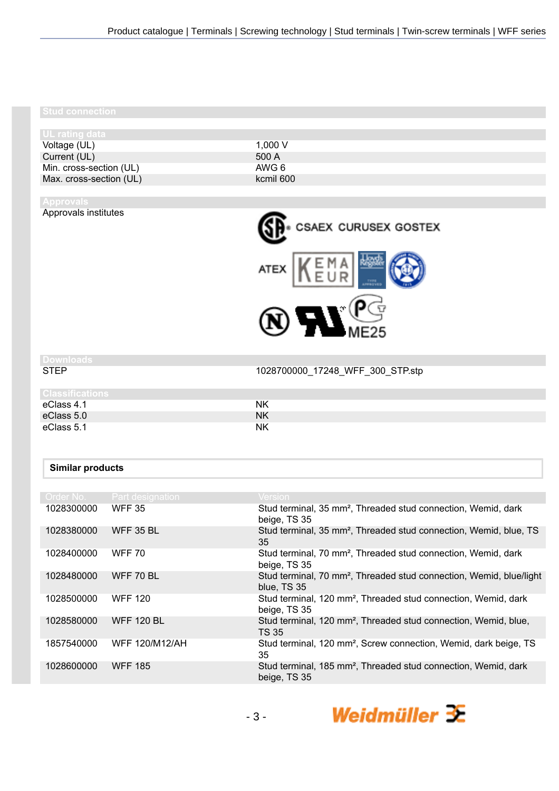### **Stud connection**

Approvals institutes

| <b>UL rating data</b>   |
|-------------------------|
| Voltage (UL)            |
| Current (UL)            |
| Min. cross-section (UL) |
| Max. cross-section (UL) |

 $1,000 V$ 500 A AWG 6 kcmil 600



# **Downloads**

1028700000\_17248\_WFF\_300\_STP.stp

| <b>Classifications</b> |           |
|------------------------|-----------|
| eClass 4.1             | NK        |
| eClass 5.0             | <b>NK</b> |
| eClass 5.1             | <b>NK</b> |

# **Similar products**

| Order No.  | <b>Part designation</b> | <b>Version</b>                                                                                 |
|------------|-------------------------|------------------------------------------------------------------------------------------------|
| 1028300000 | <b>WFF 35</b>           | Stud terminal, 35 mm <sup>2</sup> , Threaded stud connection, Wemid, dark<br>beige, TS 35      |
| 1028380000 | <b>WFF 35 BL</b>        | Stud terminal, 35 mm <sup>2</sup> , Threaded stud connection, Wemid, blue, TS<br>35            |
| 1028400000 | <b>WFF 70</b>           | Stud terminal, 70 mm <sup>2</sup> , Threaded stud connection, Wemid, dark<br>beige, TS 35      |
| 1028480000 | WFF 70 BL               | Stud terminal, 70 mm <sup>2</sup> , Threaded stud connection, Wemid, blue/light<br>blue. TS 35 |
| 1028500000 | <b>WFF 120</b>          | Stud terminal, 120 mm <sup>2</sup> , Threaded stud connection, Wemid, dark<br>beige, TS 35     |
| 1028580000 | <b>WFF 120 BL</b>       | Stud terminal, 120 mm <sup>2</sup> , Threaded stud connection, Wemid, blue,<br><b>TS 35</b>    |
| 1857540000 | <b>WFF 120/M12/AH</b>   | Stud terminal, 120 mm <sup>2</sup> , Screw connection, Wemid, dark beige, TS<br>35             |
| 1028600000 | <b>WFF 185</b>          | Stud terminal, 185 mm <sup>2</sup> , Threaded stud connection, Wemid, dark<br>beige, TS 35     |